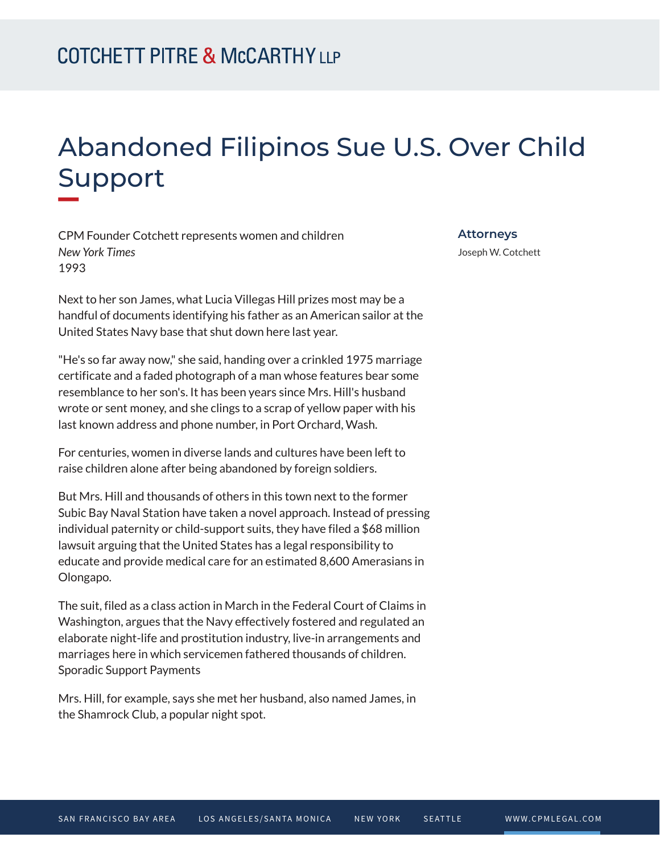## Abandoned Filipinos Sue U.S. Over Child Support **William**

CPM Founder Cotchett represents women and children *New York Times* 1993

Next to her son James, what Lucia Villegas Hill prizes most may be a handful of documents identifying his father as an American sailor at the United States Navy base that shut down here last year.

"He's so far away now," she said, handing over a crinkled 1975 marriage certificate and a faded photograph of a man whose features bear some resemblance to her son's. It has been years since Mrs. Hill's husband wrote or sent money, and she clings to a scrap of yellow paper with his last known address and phone number, in Port Orchard, Wash.

For centuries, women in diverse lands and cultures have been left to raise children alone after being abandoned by foreign soldiers.

But Mrs. Hill and thousands of others in this town next to the former Subic Bay Naval Station have taken a novel approach. Instead of pressing individual paternity or child-support suits, they have filed a \$68 million lawsuit arguing that the United States has a legal responsibility to educate and provide medical care for an estimated 8,600 Amerasians in Olongapo.

The suit, filed as a class action in March in the Federal Court of Claims in Washington, argues that the Navy effectively fostered and regulated an elaborate night-life and prostitution industry, live-in arrangements and marriages here in which servicemen fathered thousands of children. Sporadic Support Payments

Mrs. Hill, for example, says she met her husband, also named James, in the Shamrock Club, a popular night spot.

**Attorneys**

Joseph W. Cotchett